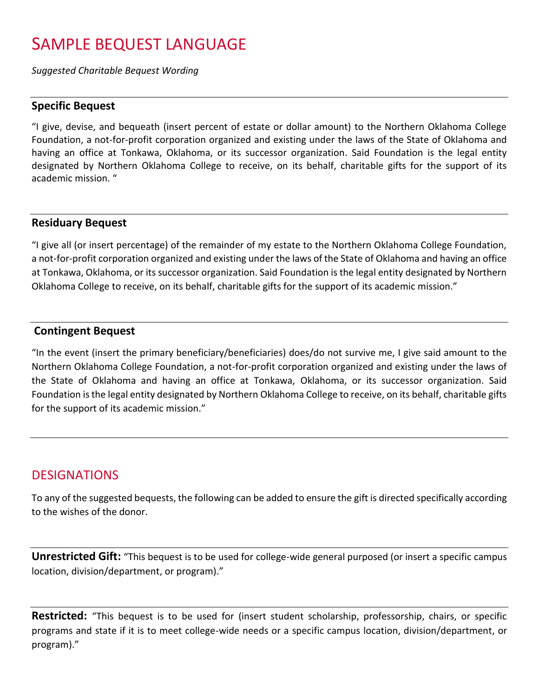# SAMPLE BEQUEST LANGUAGE

*Suggested Charitable Bequest Wording*

#### **Specific Bequest**

"I give, devise, and bequeath (insert percent of estate or dollar amount) to the Northern Oklahoma College Foundation, a not-for-profit corporation organized and existing under the laws of the State of Oklahoma and having an office at Tonkawa, Oklahoma, or its successor organization. Said Foundation is the legal entity designated by Northern Oklahoma College to receive, on its behalf, charitable gifts for the support of its academic mission. "

#### **Residuary Bequest**

"I give all (or insert percentage) of the remainder of my estate to the Northern Oklahoma College Foundation, a not-for-profit corporation organized and existing under the laws of the State of Oklahoma and having an office at Tonkawa, Oklahoma, or its successor organization. Said Foundation is the legal entity designated by Northern Oklahoma College to receive, on its behalf, charitable gifts for the support of its academic mission."

### **Contingent Bequest**

"In the event (insert the primary beneficiary/beneficiaries) does/do not survive me, I give said amount to the Northern Oklahoma College Foundation, a not-for-profit corporation organized and existing under the laws of the State of Oklahoma and having an office at Tonkawa, Oklahoma, or its successor organization. Said Foundation is the legal entity designated by Northern Oklahoma College to receive, on its behalf, charitable gifts for the support of its academic mission."

# **DESIGNATIONS**

To any of the suggested bequests, the following can be added to ensure the gift is directed specifically according to the wishes of the donor.

**Unrestricted Gift:** "This bequest is to be used for college-wide general purposed (or insert a specific campus location, division/department, or program)."

**Restricted:** "This bequest is to be used for (insert student scholarship, professorship, chairs, or specific programs and state if it is to meet college-wide needs or a specific campus location, division/department, or program)."